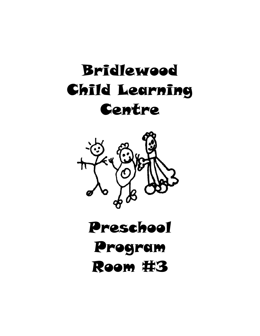# **Bridlewood** Child Learning Centre



# Preschool Program Room #3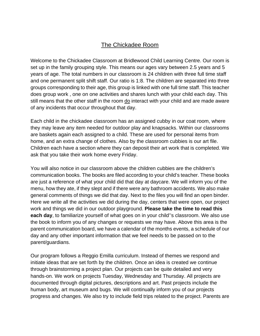### The Chickadee Room

Welcome to the Chickadee Classroom at Bridlewood Child Learning Centre. Our room is set up in the family grouping style. This means our ages vary between 2.5 years and 5 years of age. The total numbers in our classroom is 24 children with three full time staff and one permanent split shift staff. Our ratio is 1:8. The children are separated into three groups corresponding to their age, this group is linked with one full time staff. This teacher does group work , one on one activities and shares lunch with your child each day. This still means that the other staff in the room do interact with your child and are made aware of any incidents that occur throughout that day.

Each child in the chickadee classroom has an assigned cubby in our coat room, where they may leave any item needed for outdoor play and knapsacks. Within our classrooms are baskets again each assigned to a child. These are used for personal items from home, and an extra change of clothes. Also by the classroom cubbies is our art file. Children each have a section where they can deposit their art work that is completed. We ask that you take their work home every Friday.

You will also notice in our classroom above the children cubbies are the children's communication books. The books are filed according to your child's teacher. These books are just a reference of what your child did that day at daycare. We will inform you of the menu, how they ate, if they slept and if there were any bathroom accidents. We also make general comments of things we did that day. Next to the files you will find an open binder. Here we write all the activities we did during the day, centers that were open, our project work and things we did in our outdoor playground. **Please take the time to read this each day**, to familiarize yourself of what goes on in your child''s classroom. We also use the book to inform you of any changes or requests we may have. Above this area is the parent communication board, we have a calendar of the months events, a schedule of our day and any other important information that we feel needs to be passed on to the parent/guardians.

Our program follows a Reggio Emilla curriculum. Instead of themes we respond and initiate ideas that are set forth by the children. Once an idea is created we continue through brainstorming a project plan. Our projects can be quite detailed and very hands-on. We work on projects Tuesday, Wednesday and Thursday. All projects are documented through digital pictures, descriptions and art. Past projects include the human body, art museum and bugs. We will continually inform you of our projects progress and changes. We also try to include field trips related to the project. Parents are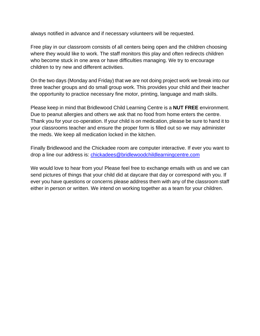always notified in advance and if necessary volunteers will be requested.

Free play in our classroom consists of all centers being open and the children choosing where they would like to work. The staff monitors this play and often redirects children who become stuck in one area or have difficulties managing. We try to encourage children to try new and different activities.

On the two days (Monday and Friday) that we are not doing project work we break into our three teacher groups and do small group work. This provides your child and their teacher the opportunity to practice necessary fine motor, printing, language and math skills.

Please keep in mind that Bridlewood Child Learning Centre is a **NUT FREE** environment. Due to peanut allergies and others we ask that no food from home enters the centre. Thank you for your co-operation. If your child is on medication, please be sure to hand it to your classrooms teacher and ensure the proper form is filled out so we may administer the meds. We keep all medication locked in the kitchen.

Finally Bridlewood and the Chickadee room are computer interactive. If ever you want to drop a line our address is: chickadees@bridlewoodchildlearningcentre.com

We would love to hear from you! Please feel free to exchange emails with us and we can send pictures of things that your child did at daycare that day or correspond with you. If ever you have questions or concerns please address them with any of the classroom staff either in person or written. We intend on working together as a team for your children.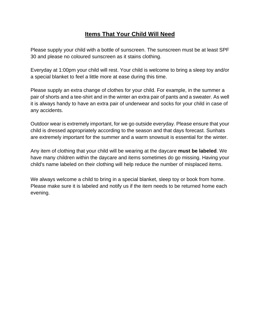### **Items That Your Child Will Need**

Please supply your child with a bottle of sunscreen. The sunscreen must be at least SPF 30 and please no coloured sunscreen as it stains clothing.

Everyday at 1:00pm your child will rest. Your child is welcome to bring a sleep toy and/or a special blanket to feel a little more at ease during this time.

Please supply an extra change of clothes for your child. For example, in the summer a pair of shorts and a tee-shirt and in the winter an extra pair of pants and a sweater. As well it is always handy to have an extra pair of underwear and socks for your child in case of any accidents.

Outdoor wear is extremely important, for we go outside everyday. Please ensure that your child is dressed appropriately according to the season and that days forecast. Sunhats are extremely important for the summer and a warm snowsuit is essential for the winter.

Any item of clothing that your child will be wearing at the daycare **must be labeled**. We have many children within the daycare and items sometimes do go missing. Having your child's name labeled on their clothing will help reduce the number of misplaced items.

We always welcome a child to bring in a special blanket, sleep toy or book from home. Please make sure it is labeled and notify us if the item needs to be returned home each evening.